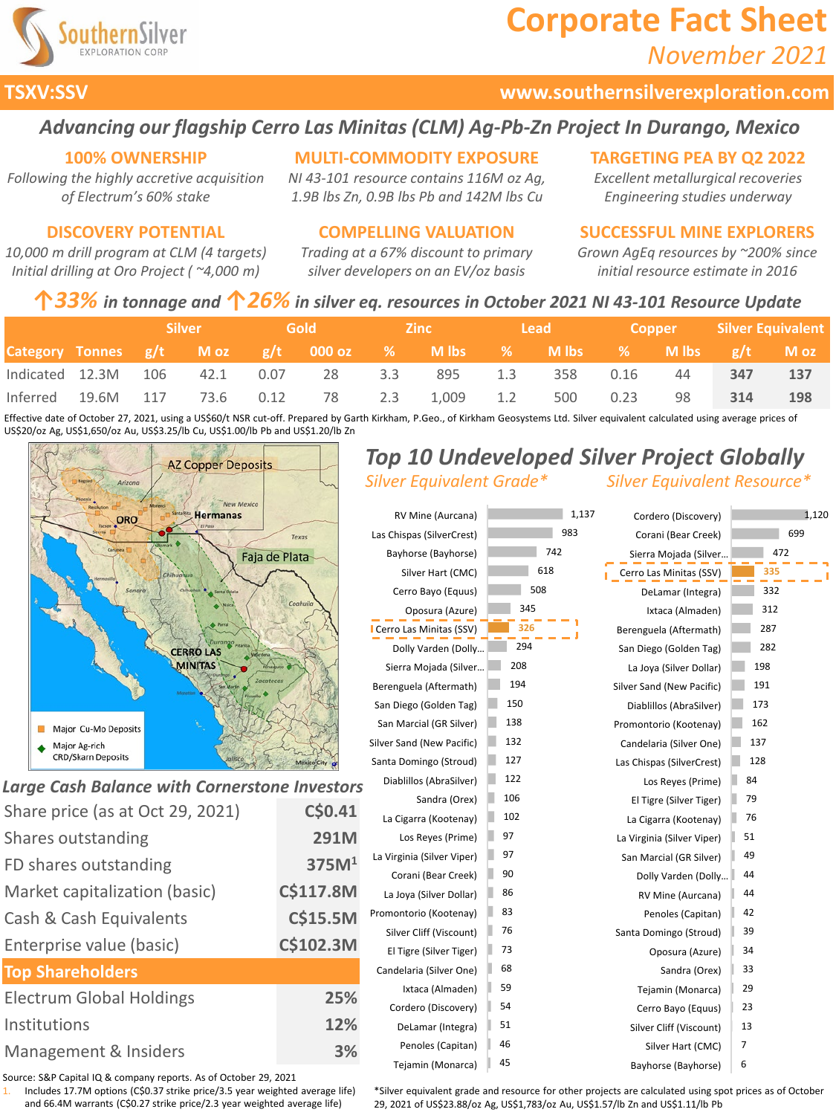## **Corporate Fact Sheet**

*November 2021*



## **TSXV:SSV www.southernsilverexploration.com**

## *Advancing our flagship Cerro Las Minitas (CLM) Ag-Pb-Zn Project In Durango, Mexico*

### **100% OWNERSHIP**

*Following the highly accretive acquisition of Electrum's 60% stake*

#### **DISCOVERY POTENTIAL**

*10,000 m drill program at CLM (4 targets) Initial drilling at Oro Project ( ~4,000 m)*

## **MULTI-COMMODITY EXPOSURE**

*NI 43-101 resource contains 116M oz Ag, 1.9B lbs Zn, 0.9B lbs Pb and 142M lbs Cu*

#### **COMPELLING VALUATION**

*Trading at a 67% discount to primary silver developers on an EV/oz basis*

## **TARGETING PEA BY Q2 2022**

*Excellent metallurgical recoveries Engineering studies underway*

#### **SUCCESSFUL MINE EXPLORERS**

*Grown AgEq resources by ~200% since initial resource estimate in 2016* 

## *↑33% in tonnage and ↑26% in silver eq. resources in October 2021 NI 43-101 Resource Update*

|                          |  | <b>Silver</b> | Gold          | -Zinc -                                                                    | Lead : |          |     | <b>Copper</b> Silver Equivalent |      |
|--------------------------|--|---------------|---------------|----------------------------------------------------------------------------|--------|----------|-----|---------------------------------|------|
|                          |  |               |               | Category Tonnes $g/t$ M oz $g/t$ 000 oz % M lbs % M lbs % M lbs $g/t$ M oz |        |          |     |                                 |      |
| Indicated 12.3M 106 42.1 |  |               | $0.07$ 28 3.3 | 895 1.3                                                                    |        | 358 0.16 | 44  | 347                             | -137 |
| Inferred $19.6M$ 117     |  |               |               | 73.6  0.12  78  2.3  1,009  1.2                                            | 500    | 0.23     | -98 | 314                             | 198  |

Effective date of October 27, 2021, using a US\$60/t NSR cut-off. Prepared by Garth Kirkham, P.Geo., of Kirkham Geosystems Ltd. Silver equivalent calculated using average prices of US\$20/oz Ag, US\$1,650/oz Au, US\$3.25/lb Cu, US\$1.00/lb Pb and US\$1.20/lb Zn

## **AZ Copper Deposits** New Mexico **Hermanas** ORO Faja de Plata **CERRO LAS MINITAS** Major Cu-Mo Deposits Major Ag-rich **CRD/Skarn Deposits**

## *Large Cash Balance with Cornerstone Investors*

| Share price (as at Oct 29, 2021) | C\$0.41           |   |
|----------------------------------|-------------------|---|
| Shares outstanding               | <b>291M</b>       |   |
| FD shares outstanding            | 375M <sup>1</sup> |   |
| Market capitalization (basic)    | <b>C\$117.8M</b>  |   |
| Cash & Cash Equivalents          | <b>C\$15.5M</b>   | P |
| Enterprise value (basic)         | C\$102.3M         |   |
| <b>Top Shareholders</b>          |                   |   |
| <b>Electrum Global Holdings</b>  | 25%               |   |
| Institutions                     | 12%               |   |
| Management & Insiders            | 3%                |   |

## *Top 10 Undeveloped Silver Project Globally Silver Equivalent Grade\* Silver Equivalent Resource\**

| RV Mine (Aurcana)          | 1,137 | Cordero (Discovery)        | 1,120          |
|----------------------------|-------|----------------------------|----------------|
| Las Chispas (SilverCrest)  | 983   | Corani (Bear Creek)        | 699            |
| Bayhorse (Bayhorse)        | 742   | Sierra Mojada (Silver      | 472            |
| Silver Hart (CMC)          | 618   | Cerro Las Minitas (SSV)    | 335            |
| Cerro Bayo (Equus)         | 508   | DeLamar (Integra)          | 332            |
| Oposura (Azure)            | 345   | Ixtaca (Almaden)           | 312            |
| Cerro Las Minitas (SSV)    | 326   | Berenguela (Aftermath)     | 287            |
| Dolly Varden (Dolly        | 294   | San Diego (Golden Tag)     | 282            |
| Sierra Mojada (Silver      | 208   | La Joya (Silver Dollar)    | 198            |
| Berenguela (Aftermath)     | 194   | Silver Sand (New Pacific)  | 191            |
| San Diego (Golden Tag)     | 150   | Diablillos (AbraSilver)    | 173            |
| San Marcial (GR Silver)    | 138   | Promontorio (Kootenay)     | 162            |
| Silver Sand (New Pacific)  | 132   | Candelaria (Silver One)    | 137            |
| Santa Domingo (Stroud)     | 127   | Las Chispas (SilverCrest)  | 128            |
| Diablillos (AbraSilver)    | 122   | Los Reyes (Prime)          | 84             |
| Sandra (Orex)              | 106   | El Tigre (Silver Tiger)    | 79             |
| La Cigarra (Kootenay)      | 102   | La Cigarra (Kootenay)      | 76             |
| Los Reyes (Prime)          | 97    | La Virginia (Silver Viper) | 51             |
| La Virginia (Silver Viper) | 97    | San Marcial (GR Silver)    | 49             |
| Corani (Bear Creek)        | 90    | Dolly Varden (Dolly        | 44             |
| La Joya (Silver Dollar)    | 86    | RV Mine (Aurcana)          | 44             |
| Promontorio (Kootenay)     | 83    | Penoles (Capitan)          | 42             |
| Silver Cliff (Viscount)    | 76    | Santa Domingo (Stroud)     | 39             |
| El Tigre (Silver Tiger)    | 73    | Oposura (Azure)            | 34             |
| Candelaria (Silver One)    | 68    | Sandra (Orex)              | 33             |
| Ixtaca (Almaden)           | 59    | Tejamin (Monarca)          | 29             |
| Cordero (Discovery)        | 54    | Cerro Bayo (Equus)         | 23             |
| DeLamar (Integra)          | 51    | Silver Cliff (Viscount)    | 13             |
| Penoles (Capitan)          | 46    | Silver Hart (CMC)          | $\overline{7}$ |
| Tejamin (Monarca)          | 45    | Bayhorse (Bayhorse)        | 6              |

Source: S&P Capital IQ & company reports. As of October 29, 2021

1. Includes 17.7M options (C\$0.37 strike price/3.5 year weighted average life) and 66.4M warrants (C\$0.27 strike price/2.3 year weighted average life)

\*Silver equivalent grade and resource for other projects are calculated using spot prices as of October 29, 2021 of US\$23.88/oz Ag, US\$1,783/oz Au, US\$1.57/lb Zn and US\$1.11/lb Pb